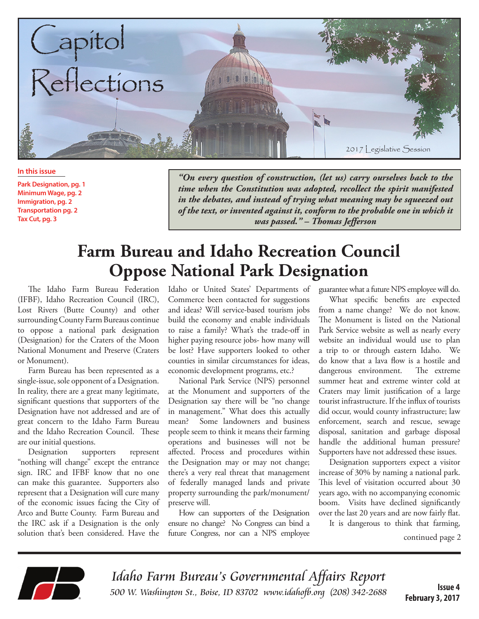

**In this issue**

**Park Designation, pg. 1 Minimum Wage, pg. 2 Immigration, pg. 2 Transportation pg. 2 Tax Cut, pg. 3**

*"On every question of construction, (let us) carry ourselves back to the time when the Constitution was adopted, recollect the spirit manifested in the debates, and instead of trying what meaning may be squeezed out of the text, or invented against it, conform to the probable one in which it was passed." – Thomas Jefferson*

## **Farm Bureau and Idaho Recreation Council Oppose National Park Designation**

The Idaho Farm Bureau Federation (IFBF), Idaho Recreation Council (IRC), Lost Rivers (Butte County) and other surrounding County Farm Bureaus continue to oppose a national park designation (Designation) for the Craters of the Moon National Monument and Preserve (Craters or Monument).

Farm Bureau has been represented as a single-issue, sole opponent of a Designation. In reality, there are a great many legitimate, significant questions that supporters of the Designation have not addressed and are of great concern to the Idaho Farm Bureau and the Idaho Recreation Council. These are our initial questions.

Designation supporters represent "nothing will change" except the entrance sign. IRC and IFBF know that no one can make this guarantee. Supporters also represent that a Designation will cure many of the economic issues facing the City of Arco and Butte County. Farm Bureau and the IRC ask if a Designation is the only solution that's been considered. Have the

Idaho or United States' Departments of Commerce been contacted for suggestions and ideas? Will service-based tourism jobs build the economy and enable individuals to raise a family? What's the trade-off in higher paying resource jobs- how many will be lost? Have supporters looked to other counties in similar circumstances for ideas, economic development programs, etc.?

National Park Service (NPS) personnel at the Monument and supporters of the Designation say there will be "no change in management." What does this actually mean? Some landowners and business people seem to think it means their farming operations and businesses will not be affected. Process and procedures within the Designation may or may not change; there's a very real threat that management of federally managed lands and private property surrounding the park/monument/ preserve will.

How can supporters of the Designation ensure no change? No Congress can bind a future Congress, nor can a NPS employee

guarantee what a future NPS employee will do.

What specific benefits are expected from a name change? We do not know. The Monument is listed on the National Park Service website as well as nearly every website an individual would use to plan a trip to or through eastern Idaho. We do know that a lava flow is a hostile and dangerous environment. The extreme summer heat and extreme winter cold at Craters may limit justification of a large tourist infrastructure. If the influx of tourists did occur, would county infrastructure; law enforcement, search and rescue, sewage disposal, sanitation and garbage disposal handle the additional human pressure? Supporters have not addressed these issues.

Designation supporters expect a visitor increase of 30% by naming a national park. This level of visitation occurred about 30 years ago, with no accompanying economic boom. Visits have declined significantly over the last 20 years and are now fairly flat. It is dangerous to think that farming,

continued page 2



Idaho Farm Bureau's Governmental Affairs Report 500 W. Washington St., Boise, ID 83702 www.idahofb.org (208) 342-2688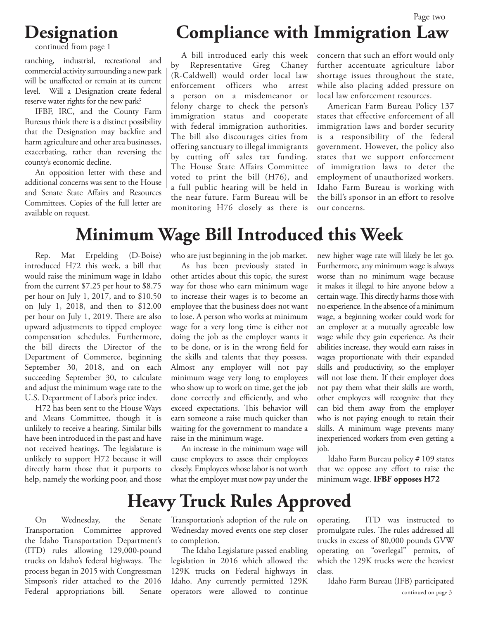#### Page two

#### **Designation**

continued from page 1

ranching, industrial, recreational and commercial activity surrounding a new park will be unaffected or remain at its current level. Will a Designation create federal reserve water rights for the new park?

IFBF, IRC, and the County Farm Bureaus think there is a distinct possibility that the Designation may backfire and harm agriculture and other area businesses, exacerbating, rather than reversing the county's economic decline.

An opposition letter with these and additional concerns was sent to the House and Senate State Affairs and Resources Committees. Copies of the full letter are available on request.

# **Compliance with Immigration Law**

A bill introduced early this week by Representative Greg Chaney (R-Caldwell) would order local law enforcement officers who arrest a person on a misdemeanor or felony charge to check the person's immigration status and cooperate with federal immigration authorities. The bill also discourages cities from offering sanctuary to illegal immigrants by cutting off sales tax funding. The House State Affairs Committee voted to print the bill (H76), and a full public hearing will be held in the near future. Farm Bureau will be monitoring H76 closely as there is

concern that such an effort would only further accentuate agriculture labor shortage issues throughout the state, while also placing added pressure on local law enforcement resources.

American Farm Bureau Policy 137 states that effective enforcement of all immigration laws and border security is a responsibility of the federal government. However, the policy also states that we support enforcement of immigration laws to deter the employment of unauthorized workers. Idaho Farm Bureau is working with the bill's sponsor in an effort to resolve our concerns.

### **Minimum Wage Bill Introduced this Week**

Rep. Mat Erpelding (D-Boise) introduced H72 this week, a bill that would raise the minimum wage in Idaho from the current \$7.25 per hour to \$8.75 per hour on July 1, 2017, and to \$10.50 on July 1, 2018, and then to \$12.00 per hour on July 1, 2019. There are also upward adjustments to tipped employee compensation schedules. Furthermore, the bill directs the Director of the Department of Commerce, beginning September 30, 2018, and on each succeeding September 30, to calculate and adjust the minimum wage rate to the U.S. Department of Labor's price index.

H72 has been sent to the House Ways and Means Committee, though it is unlikely to receive a hearing. Similar bills have been introduced in the past and have not received hearings. The legislature is unlikely to support H72 because it will directly harm those that it purports to help, namely the working poor, and those

who are just beginning in the job market.

As has been previously stated in other articles about this topic, the surest way for those who earn minimum wage to increase their wages is to become an employee that the business does not want to lose. A person who works at minimum wage for a very long time is either not doing the job as the employer wants it to be done, or is in the wrong field for the skills and talents that they possess. Almost any employer will not pay minimum wage very long to employees who show up to work on time, get the job done correctly and efficiently, and who exceed expectations. This behavior will earn someone a raise much quicker than waiting for the government to mandate a raise in the minimum wage.

An increase in the minimum wage will cause employers to assess their employees closely. Employees whose labor is not worth what the employer must now pay under the

new higher wage rate will likely be let go. Furthermore, any minimum wage is always worse than no minimum wage because it makes it illegal to hire anyone below a certain wage. This directly harms those with no experience. In the absence of a minimum wage, a beginning worker could work for an employer at a mutually agreeable low wage while they gain experience. As their abilities increase, they would earn raises in wages proportionate with their expanded skills and productivity, so the employer will not lose them. If their employer does not pay them what their skills are worth, other employers will recognize that they can bid them away from the employer who is not paying enough to retain their skills. A minimum wage prevents many inexperienced workers from even getting a job.

Idaho Farm Bureau policy # 109 states that we oppose any effort to raise the minimum wage. **IFBF opposes H72**

## **Heavy Truck Rules Approved**

On Wednesday, the Senate Transportation Committee approved the Idaho Transportation Department's (ITD) rules allowing 129,000-pound trucks on Idaho's federal highways. The process began in 2015 with Congressman Simpson's rider attached to the 2016 Federal appropriations bill. Senate

Transportation's adoption of the rule on Wednesday moved events one step closer to completion.

The Idaho Legislature passed enabling legislation in 2016 which allowed the 129K trucks on Federal highways in Idaho. Any currently permitted 129K operators were allowed to continue

operating. ITD was instructed to promulgate rules. The rules addressed all trucks in excess of 80,000 pounds GVW operating on "overlegal" permits, of which the 129K trucks were the heaviest class.

Idaho Farm Bureau (IFB) participated continued on page 3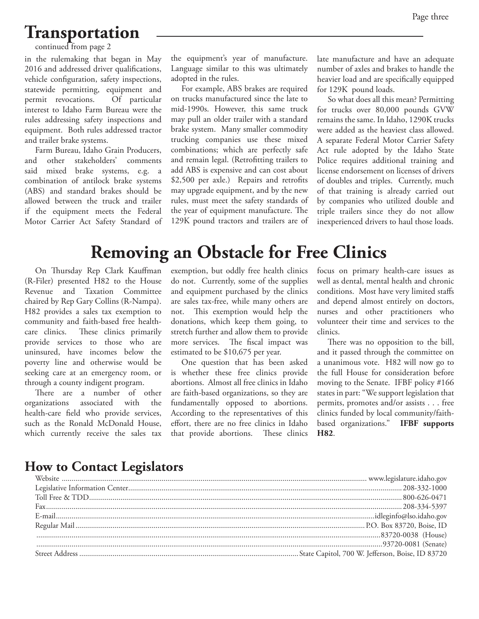# **Transportation**

continued from page 2

in the rulemaking that began in May 2016 and addressed driver qualifications, vehicle configuration, safety inspections, statewide permitting, equipment and permit revocations. Of particular interest to Idaho Farm Bureau were the rules addressing safety inspections and equipment. Both rules addressed tractor and trailer brake systems.

Farm Bureau, Idaho Grain Producers, and other stakeholders' comments said mixed brake systems, e.g. a combination of antilock brake systems (ABS) and standard brakes should be allowed between the truck and trailer if the equipment meets the Federal Motor Carrier Act Safety Standard of the equipment's year of manufacture. Language similar to this was ultimately adopted in the rules.

For example, ABS brakes are required on trucks manufactured since the late to mid-1990s. However, this same truck may pull an older trailer with a standard brake system. Many smaller commodity trucking companies use these mixed combinations; which are perfectly safe and remain legal. (Retrofitting trailers to add ABS is expensive and can cost about \$2,500 per axle.) Repairs and retrofits may upgrade equipment, and by the new rules, must meet the safety standards of the year of equipment manufacture. The 129K pound tractors and trailers are of

late manufacture and have an adequate number of axles and brakes to handle the heavier load and are specifically equipped for 129K pound loads.

So what does all this mean? Permitting for trucks over 80,000 pounds GVW remains the same. In Idaho, 1290K trucks were added as the heaviest class allowed. A separate Federal Motor Carrier Safety Act rule adopted by the Idaho State Police requires additional training and license endorsement on licenses of drivers of doubles and triples. Currently, much of that training is already carried out by companies who utilized double and triple trailers since they do not allow inexperienced drivers to haul those loads.

# **Removing an Obstacle for Free Clinics**

On Thursday Rep Clark Kauffman (R-Filer) presented H82 to the House Revenue and Taxation Committee chaired by Rep Gary Collins (R-Nampa). H82 provides a sales tax exemption to community and faith-based free healthcare clinics. These clinics primarily provide services to those who are uninsured, have incomes below the poverty line and otherwise would be seeking care at an emergency room, or through a county indigent program.

There are a number of other organizations associated with the health-care field who provide services, such as the Ronald McDonald House, which currently receive the sales tax

exemption, but oddly free health clinics do not. Currently, some of the supplies and equipment purchased by the clinics are sales tax-free, while many others are not. This exemption would help the donations, which keep them going, to stretch further and allow them to provide more services. The fiscal impact was estimated to be \$10,675 per year.

One question that has been asked is whether these free clinics provide abortions. Almost all free clinics in Idaho are faith-based organizations, so they are fundamentally opposed to abortions. According to the representatives of this effort, there are no free clinics in Idaho that provide abortions. These clinics

focus on primary health-care issues as well as dental, mental health and chronic conditions. Most have very limited staffs and depend almost entirely on doctors, nurses and other practitioners who volunteer their time and services to the clinics.

There was no opposition to the bill, and it passed through the committee on a unanimous vote. H82 will now go to the full House for consideration before moving to the Senate. IFBF policy #166 states in part: "We support legislation that permits, promotes and/or assists . . . free clinics funded by local community/faithbased organizations." **IFBF supports H82**.

#### **How to Contact Legislators**